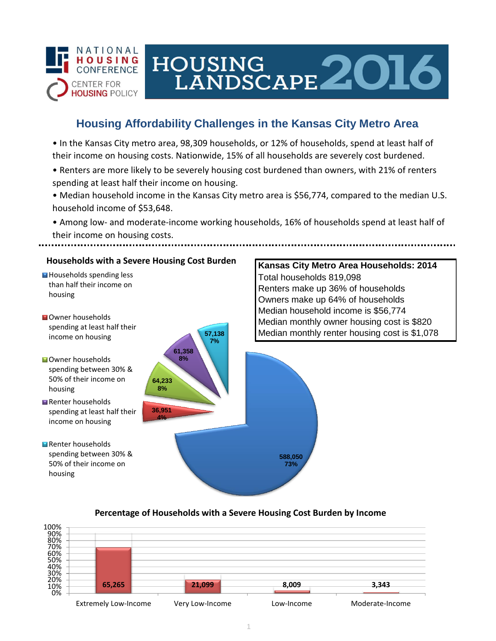

# HOUSING<br>LANDSCAPE 2016

## **Housing Affordability Challenges in the Kansas City Metro Area**

• In the Kansas City metro area, 98,309 households, or 12% of households, spend at least half of their income on housing costs. Nationwide, 15% of all households are severely cost burdened.

- Renters are more likely to be severely housing cost burdened than owners, with 21% of renters spending at least half their income on housing.
- Median household income in the Kansas City metro area is \$56,774, compared to the median U.S. household income of \$53,648.

• Among low- and moderate-income working households, 16% of households spend at least half of their income on housing costs.



### **Percentage of Households with a Severe Housing Cost Burden by Income**